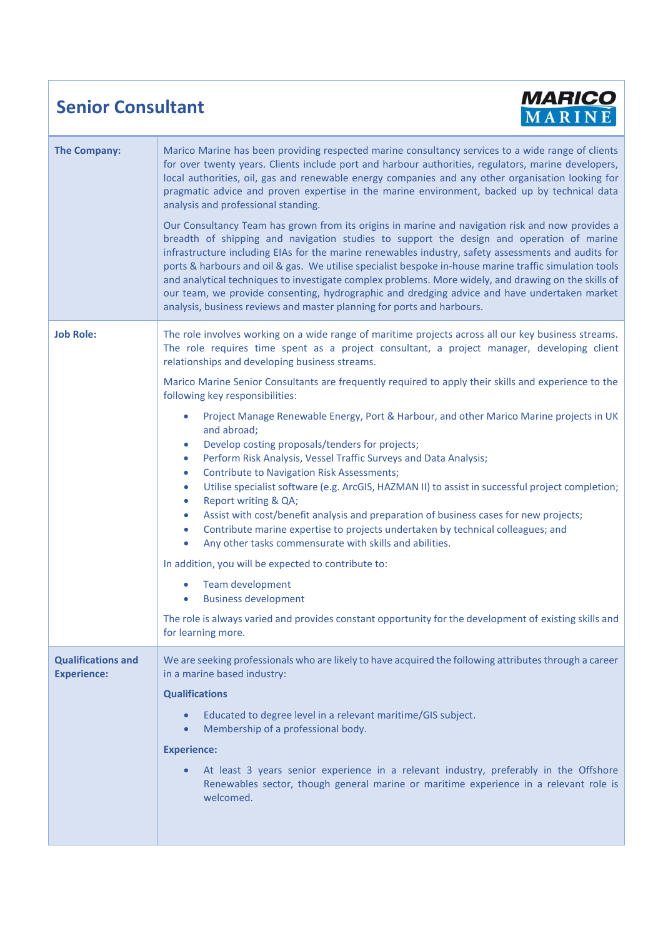## **Senior Consultant**



| <b>The Company:</b>                             | Marico Marine has been providing respected marine consultancy services to a wide range of clients<br>for over twenty years. Clients include port and harbour authorities, regulators, marine developers,<br>local authorities, oil, gas and renewable energy companies and any other organisation looking for<br>pragmatic advice and proven expertise in the marine environment, backed up by technical data<br>analysis and professional standing.<br>Our Consultancy Team has grown from its origins in marine and navigation risk and now provides a<br>breadth of shipping and navigation studies to support the design and operation of marine<br>infrastructure including EIAs for the marine renewables industry, safety assessments and audits for<br>ports & harbours and oil & gas. We utilise specialist bespoke in-house marine traffic simulation tools<br>and analytical techniques to investigate complex problems. More widely, and drawing on the skills of<br>our team, we provide consenting, hydrographic and dredging advice and have undertaken market<br>analysis, business reviews and master planning for ports and harbours.                                                                                                                                                                                                                                                                |
|-------------------------------------------------|------------------------------------------------------------------------------------------------------------------------------------------------------------------------------------------------------------------------------------------------------------------------------------------------------------------------------------------------------------------------------------------------------------------------------------------------------------------------------------------------------------------------------------------------------------------------------------------------------------------------------------------------------------------------------------------------------------------------------------------------------------------------------------------------------------------------------------------------------------------------------------------------------------------------------------------------------------------------------------------------------------------------------------------------------------------------------------------------------------------------------------------------------------------------------------------------------------------------------------------------------------------------------------------------------------------------------------------------------------------------------------------------------------------------|
| <b>Job Role:</b>                                | The role involves working on a wide range of maritime projects across all our key business streams.<br>The role requires time spent as a project consultant, a project manager, developing client<br>relationships and developing business streams.<br>Marico Marine Senior Consultants are frequently required to apply their skills and experience to the<br>following key responsibilities:<br>Project Manage Renewable Energy, Port & Harbour, and other Marico Marine projects in UK<br>$\bullet$<br>and abroad;<br>Develop costing proposals/tenders for projects;<br>$\bullet$<br>Perform Risk Analysis, Vessel Traffic Surveys and Data Analysis;<br>$\bullet$<br><b>Contribute to Navigation Risk Assessments;</b><br>$\bullet$<br>Utilise specialist software (e.g. ArcGIS, HAZMAN II) to assist in successful project completion;<br>$\bullet$<br>Report writing & QA;<br>$\bullet$<br>Assist with cost/benefit analysis and preparation of business cases for new projects;<br>$\bullet$<br>Contribute marine expertise to projects undertaken by technical colleagues; and<br>$\bullet$<br>Any other tasks commensurate with skills and abilities.<br>$\bullet$<br>In addition, you will be expected to contribute to:<br>Team development<br><b>Business development</b><br>The role is always varied and provides constant opportunity for the development of existing skills and<br>for learning more. |
| <b>Qualifications and</b><br><b>Experience:</b> | We are seeking professionals who are likely to have acquired the following attributes through a career<br>in a marine based industry:<br><b>Qualifications</b><br>Educated to degree level in a relevant maritime/GIS subject.<br>Membership of a professional body.<br><b>Experience:</b><br>At least 3 years senior experience in a relevant industry, preferably in the Offshore<br>Renewables sector, though general marine or maritime experience in a relevant role is<br>welcomed.                                                                                                                                                                                                                                                                                                                                                                                                                                                                                                                                                                                                                                                                                                                                                                                                                                                                                                                              |